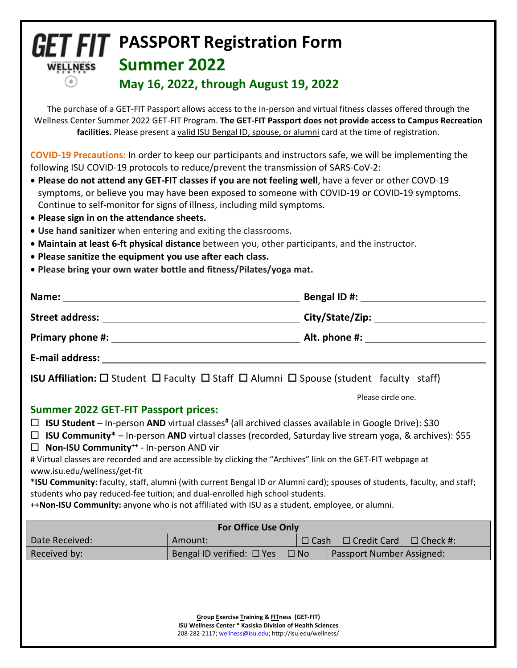## **GET FIT** PASSPORT Registration Form **Summer 2022 WELLNESS May 16, 2022, through August 19, 2022**

The purchase of a GET-FIT Passport allows access to the in-person and virtual fitness classes offered through the Wellness Center Summer 2022 GET-FIT Program. **The GET-FIT Passport does not provide access to Campus Recreation facilities.** Please present a valid ISU Bengal ID, spouse, or alumni card at the time of registration.

**COVID-19 Precautions:** In order to keep our participants and instructors safe, we will be implementing the following ISU COVID-19 protocols to reduce/prevent the transmission of SARS-CoV-2:

- **Please do not attend any GET-FIT classes if you are not feeling well**, have a fever or other COVD-19 symptoms, or believe you may have been exposed to someone with COVID-19 or COVID-19 symptoms. Continue to self-monitor for signs of illness, including mild symptoms.
- **Please sign in on the attendance sheets.**
- **Use hand sanitizer** when entering and exiting the classrooms.
- **Maintain at least 6-ft physical distance** between you, other participants, and the instructor.
- **Please sanitize the equipment you use after each class.**
- **Please bring your own water bottle and fitness/Pilates/yoga mat.**

| Name:                  | <b>Bengal ID#:</b> |  |  |
|------------------------|--------------------|--|--|
| <b>Street address:</b> | City/State/Zip:    |  |  |
| Primary phone #:       | Alt. phone #:      |  |  |
| E-mail address:        |                    |  |  |
|                        |                    |  |  |

**ISU Affiliation:**  $\square$  Student  $\square$  Faculty  $\square$  Staff  $\square$  Alumni  $\square$  Spouse (student faculty staff)

Please circle one.

## **Summer 2022 GET-FIT Passport prices:**

- **ISU Student** In-person **AND** virtual classes**#** (all archived classes available in Google Drive): \$30
- **ISU Community\*** In-person **AND** virtual classes (recorded, Saturday live stream yoga, & archives): \$55
- **Non-ISU Community++** In-person AND vir

# Virtual classes are recorded and are accessible by clicking the "Archives" link on the GET-FIT webpage at www.isu.edu/wellness/get-fit

\***ISU Community:** faculty, staff, alumni (with current Bengal ID or Alumni card); spouses of students, faculty, and staff; students who pay reduced-fee tuition; and dual-enrolled high school students.

++**Non-ISU Community:** anyone who is not affiliated with ISU as a student, employee, or alumni.

| <b>For Office Use Only</b> |                                |           |                                                |  |
|----------------------------|--------------------------------|-----------|------------------------------------------------|--|
| Date Received:             | Amount:                        |           | $\Box$ Cash $\Box$ Credit Card $\Box$ Check #: |  |
| Received by:               | Bengal ID verified: $\Box$ Yes | $\Box$ No | Passport Number Assigned:                      |  |